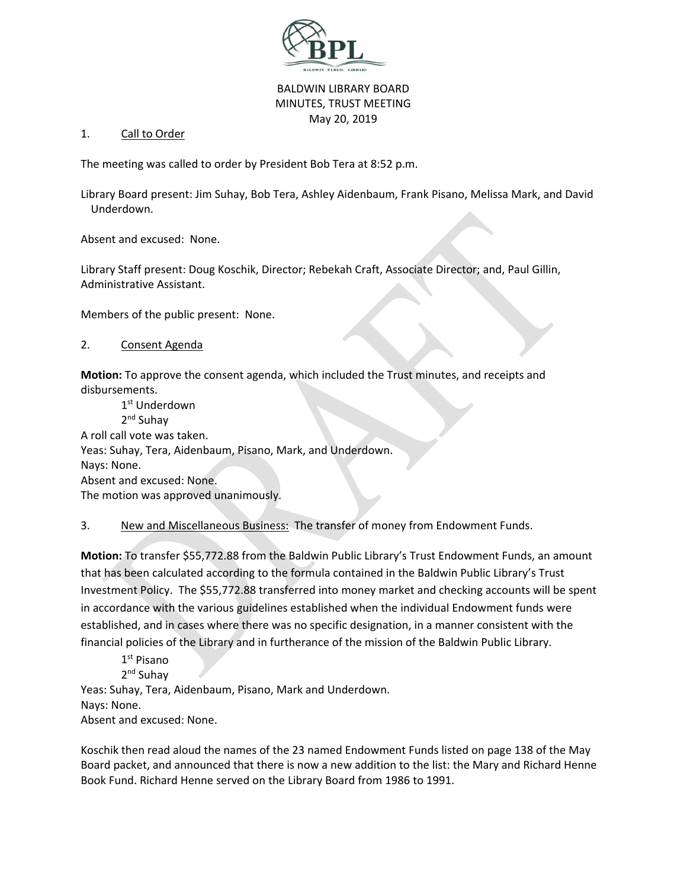

## BALDWIN LIBRARY BOARD MINUTES, TRUST MEETING May 20, 2019

## 1. Call to Order

The meeting was called to order by President Bob Tera at 8:52 p.m.

Library Board present: Jim Suhay, Bob Tera, Ashley Aidenbaum, Frank Pisano, Melissa Mark, and David Underdown.

Absent and excused: None.

Library Staff present: Doug Koschik, Director; Rebekah Craft, Associate Director; and, Paul Gillin, Administrative Assistant.

Members of the public present: None.

## 2. Consent Agenda

**Motion:** To approve the consent agenda, which included the Trust minutes, and receipts and disbursements.

1<sup>st</sup> Underdown 2<sup>nd</sup> Suhav A roll call vote was taken. Yeas: Suhay, Tera, Aidenbaum, Pisano, Mark, and Underdown. Nays: None. Absent and excused: None. The motion was approved unanimously.

3. <u>New and Miscellaneous Business:</u> The transfer of money from Endowment Funds.

**Motion:** To transfer \$55,772.88 from the Baldwin Public Library's Trust Endowment Funds, an amount that has been calculated according to the formula contained in the Baldwin Public Library's Trust Investment Policy. The \$55,772.88 transferred into money market and checking accounts will be spent in accordance with the various guidelines established when the individual Endowment funds were established, and in cases where there was no specific designation, in a manner consistent with the financial policies of the Library and in furtherance of the mission of the Baldwin Public Library.

1st Pisano 2nd Suhay Yeas: Suhay, Tera, Aidenbaum, Pisano, Mark and Underdown. Nays: None.

Absent and excused: None.

Koschik then read aloud the names of the 23 named Endowment Funds listed on page 138 of the May Board packet, and announced that there is now a new addition to the list: the Mary and Richard Henne Book Fund. Richard Henne served on the Library Board from 1986 to 1991.